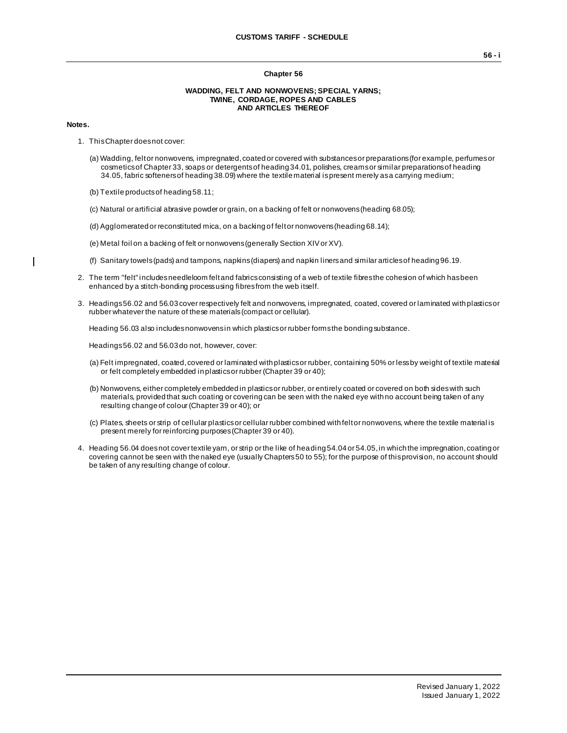## **Chapter 56**

## **WADDING, FELT AND NONWOVENS; SPECIAL YARNS; TWINE, CORDAGE, ROPES AND CABLES AND ARTICLES THEREOF**

## **Notes.**

 $\overline{\phantom{a}}$ 

- 1. This Chapter does not cover:
	- (a) Wadding, felt or nonwovens, impregnated, coated or covered with substances or preparations (for example, perfumes or cosmetics of Chapter 33, soaps or detergents of heading 34.01, polishes, creams or similar preparations of heading 34.05, fabric softeners of heading 38.09) where the textile material is present merely as a carrying medium;
	- (b) Textile products of heading 58.11;
	- (c) Natural or artificial abrasive powder or grain, on a backing of felt or nonwovens (heading 68.05);
	- (d) Agglomerated or reconstituted mica, on a backing of felt or nonwovens (heading 68.14);
	- (e) Metal foil on a backing of felt or nonwovens (generally Section XIV or XV).
	- (f) Sanitary towels (pads) and tampons, napkins (diapers) and napkin liners and similar articles of heading 96.19.
- 2. The term "felt" includes needleloom felt and fabrics consisting of a web of textile fibres the cohesion of which has been enhanced by a stitch-bonding process using fibres from the web itself.
- 3. Headings 56.02 and 56.03 cover respectively felt and nonwovens, impregnated, coated, covered or laminated with plastics or rubber whatever the nature of these materials (compact or cellular).

Heading 56.03 also includes nonwovens in which plastics or rubber forms the bonding substance.

Headings 56.02 and 56.03 do not, however, cover:

- (a) Felt impregnated, coated, covered or laminated with plastics or rubber, containing 50% or less by weight of textile material or felt completely embedded in plastics or rubber (Chapter 39 or 40);
- (b) Nonwovens, either completely embedded in plastics or rubber, or entirely coated or covered on both sides with such materials, provided that such coating or covering can be seen with the naked eye with no account being taken of any resulting change of colour (Chapter 39 or 40); or
- (c) Plates, sheets or strip of cellular plastics or cellular rubber combined with felt or nonwovens, where the textile material is present merely for reinforcing purposes (Chapter 39 or 40).
- 4. Heading 56.04 does not cover textile yarn, or strip or the like of heading 54.04 or 54.05, in which the impregnation, coating or covering cannot be seen with the naked eye (usually Chapters 50 to 55); for the purpose of this provision, no account should be taken of any resulting change of colour.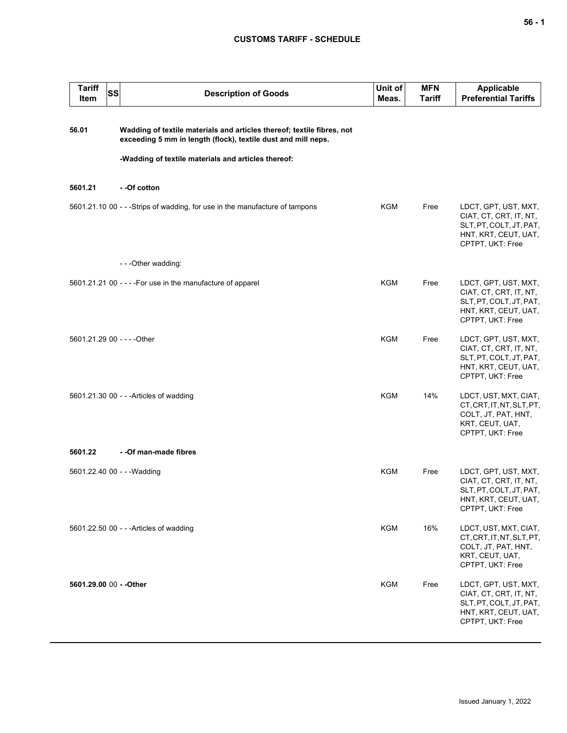# **CUSTOMS TARIFF - SCHEDULE**

| <b>Tariff</b><br>SS<br>Item | <b>Description of Goods</b>                                                                                                             | Unit of<br>Meas. | <b>MFN</b><br><b>Tariff</b> | <b>Applicable</b><br><b>Preferential Tariffs</b>                                                                      |
|-----------------------------|-----------------------------------------------------------------------------------------------------------------------------------------|------------------|-----------------------------|-----------------------------------------------------------------------------------------------------------------------|
| 56.01                       | Wadding of textile materials and articles thereof; textile fibres, not<br>exceeding 5 mm in length (flock), textile dust and mill neps. |                  |                             |                                                                                                                       |
|                             | -Wadding of textile materials and articles thereof:                                                                                     |                  |                             |                                                                                                                       |
| 5601.21                     | - -Of cotton                                                                                                                            |                  |                             |                                                                                                                       |
|                             | 5601.21.10 00 - - - Strips of wadding, for use in the manufacture of tampons                                                            | <b>KGM</b>       | Free                        | LDCT, GPT, UST, MXT,<br>CIAT, CT, CRT, IT, NT,<br>SLT, PT, COLT, JT, PAT,<br>HNT, KRT, CEUT, UAT,<br>CPTPT, UKT: Free |
|                             | - - - Other wadding:                                                                                                                    |                  |                             |                                                                                                                       |
|                             | 5601.21.21 00 - - - - For use in the manufacture of apparel                                                                             | <b>KGM</b>       | Free                        | LDCT, GPT, UST, MXT,<br>CIAT, CT, CRT, IT, NT,<br>SLT, PT, COLT, JT, PAT,<br>HNT, KRT, CEUT, UAT,<br>CPTPT, UKT: Free |
| 5601.21.29 00 - - - - Other |                                                                                                                                         | <b>KGM</b>       | Free                        | LDCT, GPT, UST, MXT,<br>CIAT, CT, CRT, IT, NT,<br>SLT, PT, COLT, JT, PAT,<br>HNT, KRT, CEUT, UAT,<br>CPTPT, UKT: Free |
|                             | 5601.21.30 00 - - - Articles of wadding                                                                                                 | <b>KGM</b>       | 14%                         | LDCT, UST, MXT, CIAT,<br>CT, CRT, IT, NT, SLT, PT,<br>COLT, JT, PAT, HNT,<br>KRT, CEUT, UAT,<br>CPTPT, UKT: Free      |
| 5601.22                     | - - Of man-made fibres                                                                                                                  |                  |                             |                                                                                                                       |
| 5601.22.40 00 - - - Wadding |                                                                                                                                         | <b>KGM</b>       | Free                        | LDCT, GPT, UST, MXT,<br>CIAT, CT, CRT, IT, NT,<br>SLT, PT, COLT, JT, PAT,<br>HNT, KRT, CEUT, UAT,<br>CPTPT, UKT: Free |
|                             | 5601.22.50 00 - - - Articles of wadding                                                                                                 | <b>KGM</b>       | 16%                         | LDCT, UST, MXT, CIAT,<br>CT, CRT, IT, NT, SLT, PT,<br>COLT, JT, PAT, HNT,<br>KRT, CEUT, UAT,<br>CPTPT, UKT: Free      |
| 5601.29.00 00 - - Other     |                                                                                                                                         | <b>KGM</b>       | Free                        | LDCT, GPT, UST, MXT,<br>CIAT, CT, CRT, IT, NT,<br>SLT, PT, COLT, JT, PAT,<br>HNT, KRT, CEUT, UAT,<br>CPTPT, UKT: Free |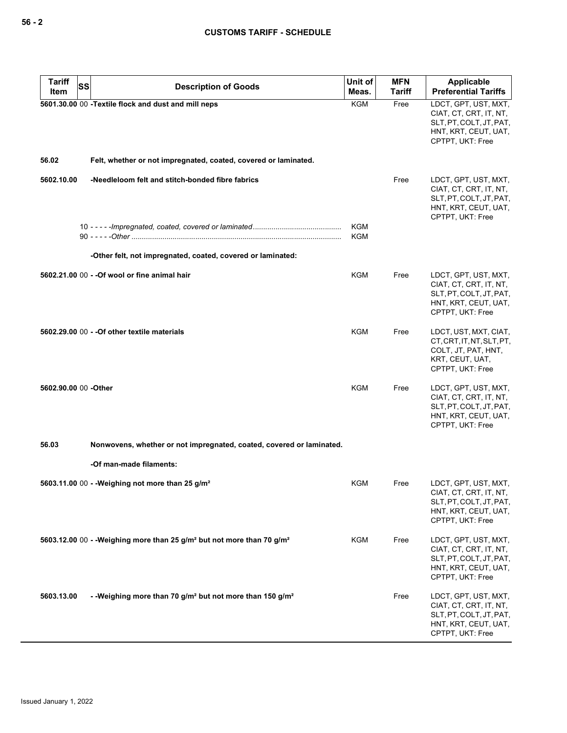| <b>Tariff</b><br>SS<br>Item | <b>Description of Goods</b>                                                                    | Unit of<br>Meas.  | <b>MFN</b><br><b>Tariff</b> | <b>Applicable</b><br><b>Preferential Tariffs</b>                                                                      |
|-----------------------------|------------------------------------------------------------------------------------------------|-------------------|-----------------------------|-----------------------------------------------------------------------------------------------------------------------|
|                             | 5601.30.00 00 - Textile flock and dust and mill neps                                           | KGM               | Free                        | LDCT, GPT, UST, MXT,                                                                                                  |
|                             |                                                                                                |                   |                             | CIAT, CT, CRT, IT, NT,<br>SLT, PT, COLT, JT, PAT,<br>HNT, KRT, CEUT, UAT,<br>CPTPT, UKT: Free                         |
| 56.02                       | Felt, whether or not impregnated, coated, covered or laminated.                                |                   |                             |                                                                                                                       |
| 5602.10.00                  | -Needleloom felt and stitch-bonded fibre fabrics                                               |                   | Free                        | LDCT, GPT, UST, MXT,<br>CIAT, CT, CRT, IT, NT,<br>SLT, PT, COLT, JT, PAT,<br>HNT, KRT, CEUT, UAT,<br>CPTPT, UKT: Free |
|                             |                                                                                                | KGM<br><b>KGM</b> |                             |                                                                                                                       |
|                             | -Other felt, not impregnated, coated, covered or laminated:                                    |                   |                             |                                                                                                                       |
|                             | 5602.21.00 00 - - Of wool or fine animal hair                                                  | <b>KGM</b>        | Free                        | LDCT, GPT, UST, MXT,<br>CIAT, CT, CRT, IT, NT,<br>SLT, PT, COLT, JT, PAT,<br>HNT, KRT, CEUT, UAT,<br>CPTPT, UKT: Free |
|                             | 5602.29.00 00 - - Of other textile materials                                                   | KGM               | Free                        | LDCT, UST, MXT, CIAT,<br>CT, CRT, IT, NT, SLT, PT,<br>COLT, JT, PAT, HNT,<br>KRT, CEUT, UAT,<br>CPTPT, UKT: Free      |
| 5602.90.00 00 -Other        |                                                                                                | KGM               | Free                        | LDCT, GPT, UST, MXT,<br>CIAT, CT, CRT, IT, NT,<br>SLT, PT, COLT, JT, PAT,<br>HNT, KRT, CEUT, UAT,<br>CPTPT, UKT: Free |
| 56.03                       | Nonwovens, whether or not impregnated, coated, covered or laminated.                           |                   |                             |                                                                                                                       |
|                             | -Of man-made filaments:                                                                        |                   |                             |                                                                                                                       |
|                             | 5603.11.00 00 - - Weighing not more than 25 g/m <sup>2</sup>                                   | KGM               | Free                        | LDCT, GPT, UST, MXT,<br>CIAT, CT, CRT, IT, NT,<br>SLT, PT, COLT, JT, PAT,<br>HNT, KRT, CEUT, UAT,<br>CPTPT, UKT: Free |
|                             | 5603.12.00 00 - - Weighing more than 25 g/m <sup>2</sup> but not more than 70 g/m <sup>2</sup> | KGM               | Free                        | LDCT, GPT, UST, MXT,<br>CIAT, CT, CRT, IT, NT,<br>SLT, PT, COLT, JT, PAT,<br>HNT, KRT, CEUT, UAT,<br>CPTPT, UKT: Free |
| 5603.13.00                  | --Weighing more than 70 g/m <sup>2</sup> but not more than 150 g/m <sup>2</sup>                |                   | Free                        | LDCT, GPT, UST, MXT,<br>CIAT, CT, CRT, IT, NT,<br>SLT, PT, COLT, JT, PAT,<br>HNT, KRT, CEUT, UAT,<br>CPTPT, UKT: Free |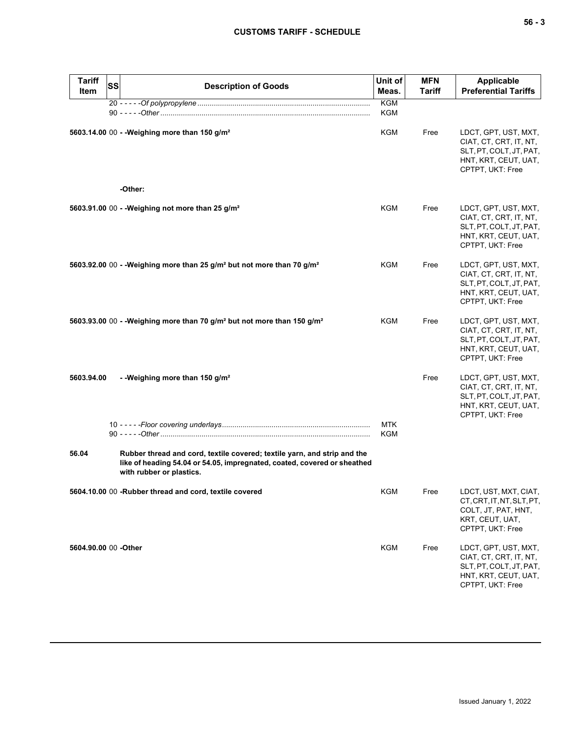| <b>Tariff</b>         |                                                                                                                                                                                  | Unit of           | <b>MFN</b>    | <b>Applicable</b>                                                                                                     |
|-----------------------|----------------------------------------------------------------------------------------------------------------------------------------------------------------------------------|-------------------|---------------|-----------------------------------------------------------------------------------------------------------------------|
| Item                  | <b>SS</b><br><b>Description of Goods</b>                                                                                                                                         | Meas.             | <b>Tariff</b> | <b>Preferential Tariffs</b>                                                                                           |
|                       |                                                                                                                                                                                  | <b>KGM</b><br>KGM |               |                                                                                                                       |
|                       | 5603.14.00 00 - - Weighing more than 150 g/m <sup>2</sup>                                                                                                                        | KGM               | Free          | LDCT, GPT, UST, MXT,<br>CIAT, CT, CRT, IT, NT,<br>SLT, PT, COLT, JT, PAT,<br>HNT, KRT, CEUT, UAT,<br>CPTPT, UKT: Free |
|                       | -Other:                                                                                                                                                                          |                   |               |                                                                                                                       |
|                       | 5603.91.00 00 - - Weighing not more than 25 g/m <sup>2</sup>                                                                                                                     | KGM               | Free          | LDCT, GPT, UST, MXT,<br>CIAT, CT, CRT, IT, NT,<br>SLT, PT, COLT, JT, PAT,<br>HNT, KRT, CEUT, UAT,<br>CPTPT, UKT: Free |
|                       | 5603.92.00 00 - - Weighing more than 25 g/m <sup>2</sup> but not more than 70 g/m <sup>2</sup>                                                                                   | KGM               | Free          | LDCT, GPT, UST, MXT,<br>CIAT, CT, CRT, IT, NT,<br>SLT, PT, COLT, JT, PAT,<br>HNT, KRT, CEUT, UAT,<br>CPTPT, UKT: Free |
|                       | 5603.93.00 00 - - Weighing more than 70 g/m <sup>2</sup> but not more than 150 g/m <sup>2</sup>                                                                                  | KGM               | Free          | LDCT, GPT, UST, MXT,<br>CIAT, CT, CRT, IT, NT,<br>SLT, PT, COLT, JT, PAT,<br>HNT, KRT, CEUT, UAT,<br>CPTPT, UKT: Free |
| 5603.94.00            | - - Weighing more than 150 g/m <sup>2</sup>                                                                                                                                      | <b>MTK</b>        | Free          | LDCT, GPT, UST, MXT,<br>CIAT, CT, CRT, IT, NT,<br>SLT, PT, COLT, JT, PAT,<br>HNT, KRT, CEUT, UAT,<br>CPTPT, UKT: Free |
|                       |                                                                                                                                                                                  | KGM               |               |                                                                                                                       |
| 56.04                 | Rubber thread and cord, textile covered; textile yarn, and strip and the<br>like of heading 54.04 or 54.05, impregnated, coated, covered or sheathed<br>with rubber or plastics. |                   |               |                                                                                                                       |
|                       | 5604.10.00 00 -Rubber thread and cord, textile covered                                                                                                                           | KGM               | Free          | LDCT, UST, MXT, CIAT,<br>CT, CRT, IT, NT, SLT, PT,<br>COLT, JT, PAT, HNT,<br>KRT, CEUT, UAT,<br>CPTPT, UKT: Free      |
| 5604.90.00 00 - Other |                                                                                                                                                                                  | <b>KGM</b>        | Free          | LDCT, GPT, UST, MXT,<br>CIAT, CT, CRT, IT, NT,<br>SLT, PT, COLT, JT, PAT,<br>HNT, KRT, CEUT, UAT,<br>CPTPT, UKT: Free |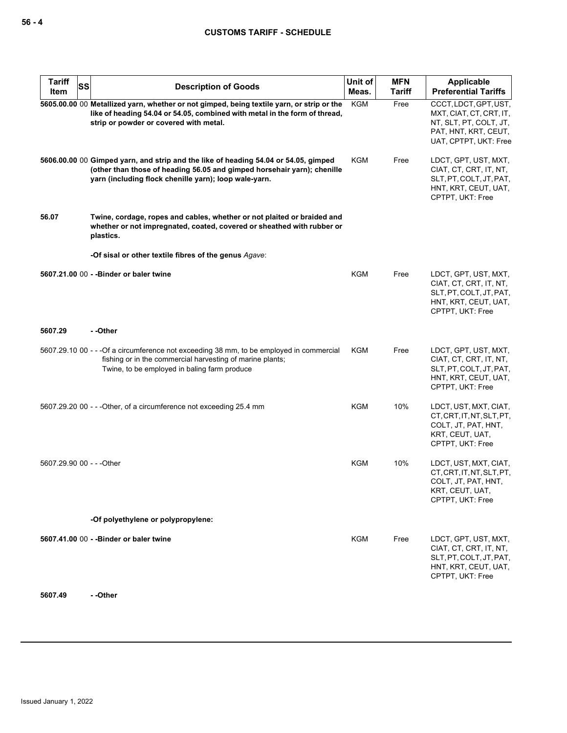| <b>Tariff</b><br>SS<br>Item | <b>Description of Goods</b>                                                                                                                                                                                             | Unit of<br>Meas. | <b>MFN</b><br>Tariff | Applicable<br><b>Preferential Tariffs</b>                                                                                   |
|-----------------------------|-------------------------------------------------------------------------------------------------------------------------------------------------------------------------------------------------------------------------|------------------|----------------------|-----------------------------------------------------------------------------------------------------------------------------|
|                             | 5605.00.00 00 Metallized yarn, whether or not gimped, being textile yarn, or strip or the<br>like of heading 54.04 or 54.05, combined with metal in the form of thread,<br>strip or powder or covered with metal.       | <b>KGM</b>       | Free                 | CCCT, LDCT, GPT, UST,<br>MXT, CIAT, CT, CRT, IT,<br>NT, SLT, PT, COLT, JT,<br>PAT, HNT, KRT, CEUT,<br>UAT, CPTPT, UKT: Free |
|                             | 5606.00.00 00 Gimped yarn, and strip and the like of heading 54.04 or 54.05, gimped<br>(other than those of heading 56.05 and gimped horsehair yarn); chenille<br>yarn (including flock chenille yarn); loop wale-yarn. | KGM              | Free                 | LDCT, GPT, UST, MXT,<br>CIAT, CT, CRT, IT, NT,<br>SLT, PT, COLT, JT, PAT,<br>HNT, KRT, CEUT, UAT,<br>CPTPT, UKT: Free       |
| 56.07                       | Twine, cordage, ropes and cables, whether or not plaited or braided and<br>whether or not impregnated, coated, covered or sheathed with rubber or<br>plastics.                                                          |                  |                      |                                                                                                                             |
|                             | -Of sisal or other textile fibres of the genus Agave:                                                                                                                                                                   |                  |                      |                                                                                                                             |
|                             | 5607.21.00 00 - - Binder or baler twine                                                                                                                                                                                 | <b>KGM</b>       | Free                 | LDCT, GPT, UST, MXT,<br>CIAT, CT, CRT, IT, NT,<br>SLT, PT, COLT, JT, PAT,<br>HNT, KRT, CEUT, UAT,<br>CPTPT, UKT: Free       |
| 5607.29                     | --Other                                                                                                                                                                                                                 |                  |                      |                                                                                                                             |
|                             | 5607.29.10 00 - - - Of a circumference not exceeding 38 mm, to be employed in commercial<br>fishing or in the commercial harvesting of marine plants;<br>Twine, to be employed in baling farm produce                   | <b>KGM</b>       | Free                 | LDCT, GPT, UST, MXT,<br>CIAT, CT, CRT, IT, NT,<br>SLT, PT, COLT, JT, PAT,<br>HNT, KRT, CEUT, UAT,<br>CPTPT, UKT: Free       |
|                             | 5607.29.20 00 - - - Other, of a circumference not exceeding 25.4 mm                                                                                                                                                     | KGM              | 10%                  | LDCT, UST, MXT, CIAT,<br>CT, CRT, IT, NT, SLT, PT,<br>COLT, JT, PAT, HNT,<br>KRT, CEUT, UAT,<br>CPTPT, UKT: Free            |
| 5607.29.90 00 - - - Other   |                                                                                                                                                                                                                         | <b>KGM</b>       | 10%                  | LDCT, UST, MXT, CIAT,<br>CT, CRT, IT, NT, SLT, PT,<br>COLT, JT, PAT, HNT,<br>KRT, CEUT, UAT,<br>CPTPT, UKT: Free            |
|                             | -Of polyethylene or polypropylene:                                                                                                                                                                                      |                  |                      |                                                                                                                             |
|                             | 5607.41.00 00 - - Binder or baler twine                                                                                                                                                                                 | KGM              | Free                 | LDCT, GPT, UST, MXT,<br>CIAT, CT, CRT, IT, NT,<br>SLT, PT, COLT, JT, PAT,<br>HNT, KRT, CEUT, UAT,<br>CPTPT, UKT: Free       |

**5607.49 - -Other**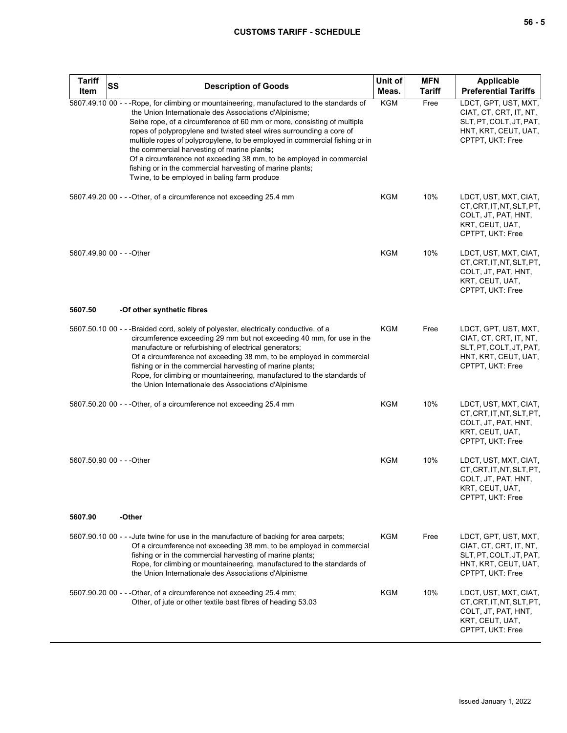# **CUSTOMS TARIFF - SCHEDULE**

| <b>Tariff</b><br>Item     | SS | <b>Description of Goods</b>                                                                                                                                                                                                                                                                                                                                                                                                                                                                                                                                                                                                | Unit of<br>Meas. | <b>MFN</b><br><b>Tariff</b> | <b>Applicable</b><br><b>Preferential Tariffs</b>                                                                      |
|---------------------------|----|----------------------------------------------------------------------------------------------------------------------------------------------------------------------------------------------------------------------------------------------------------------------------------------------------------------------------------------------------------------------------------------------------------------------------------------------------------------------------------------------------------------------------------------------------------------------------------------------------------------------------|------------------|-----------------------------|-----------------------------------------------------------------------------------------------------------------------|
|                           |    | 5607.49.10 00 - - - Rope, for climbing or mountaineering, manufactured to the standards of<br>the Union Internationale des Associations d'Alpinisme;<br>Seine rope, of a circumference of 60 mm or more, consisting of multiple<br>ropes of polypropylene and twisted steel wires surrounding a core of<br>multiple ropes of polypropylene, to be employed in commercial fishing or in<br>the commercial harvesting of marine plants;<br>Of a circumference not exceeding 38 mm, to be employed in commercial<br>fishing or in the commercial harvesting of marine plants;<br>Twine, to be employed in baling farm produce | <b>KGM</b>       | Free                        | LDCT, GPT, UST, MXT,<br>CIAT, CT, CRT, IT, NT,<br>SLT, PT, COLT, JT, PAT,<br>HNT, KRT, CEUT, UAT,<br>CPTPT, UKT: Free |
|                           |    | 5607.49.20 00 - - - Other, of a circumference not exceeding 25.4 mm                                                                                                                                                                                                                                                                                                                                                                                                                                                                                                                                                        | KGM              | 10%                         | LDCT, UST, MXT, CIAT,<br>CT, CRT, IT, NT, SLT, PT,<br>COLT, JT, PAT, HNT,<br>KRT, CEUT, UAT,<br>CPTPT, UKT: Free      |
| 5607.49.90 00 - - - Other |    |                                                                                                                                                                                                                                                                                                                                                                                                                                                                                                                                                                                                                            | KGM              | 10%                         | LDCT, UST, MXT, CIAT,<br>CT, CRT, IT, NT, SLT, PT,<br>COLT, JT, PAT, HNT,<br>KRT, CEUT, UAT,<br>CPTPT, UKT: Free      |
| 5607.50                   |    | -Of other synthetic fibres                                                                                                                                                                                                                                                                                                                                                                                                                                                                                                                                                                                                 |                  |                             |                                                                                                                       |
|                           |    | 5607.50.10 00 - - - Braided cord, solely of polyester, electrically conductive, of a<br>circumference exceeding 29 mm but not exceeding 40 mm, for use in the<br>manufacture or refurbishing of electrical generators;<br>Of a circumference not exceeding 38 mm, to be employed in commercial<br>fishing or in the commercial harvesting of marine plants;<br>Rope, for climbing or mountaineering, manufactured to the standards of<br>the Union Internationale des Associations d'Alpinisme                                                                                                                             | KGM              | Free                        | LDCT, GPT, UST, MXT,<br>CIAT, CT, CRT, IT, NT,<br>SLT, PT, COLT, JT, PAT,<br>HNT, KRT, CEUT, UAT,<br>CPTPT, UKT: Free |
|                           |    | 5607.50.20 00 - - - Other, of a circumference not exceeding 25.4 mm                                                                                                                                                                                                                                                                                                                                                                                                                                                                                                                                                        | KGM              | 10%                         | LDCT, UST, MXT, CIAT,<br>CT, CRT, IT, NT, SLT, PT,<br>COLT, JT, PAT, HNT,<br>KRT, CEUT, UAT,<br>CPTPT, UKT: Free      |
| 5607.50.90 00 - - - Other |    |                                                                                                                                                                                                                                                                                                                                                                                                                                                                                                                                                                                                                            | KGM              | 10%                         | LDCT, UST, MXT, CIAT,<br>CT, CRT, IT, NT, SLT, PT,<br>COLT, JT, PAT, HNT,<br>KRT, CEUT, UAT,<br>CPTPT, UKT: Free      |
| 5607.90                   |    | -Other                                                                                                                                                                                                                                                                                                                                                                                                                                                                                                                                                                                                                     |                  |                             |                                                                                                                       |
|                           |    | 5607.90.10 00 - - -Jute twine for use in the manufacture of backing for area carpets;<br>Of a circumference not exceeding 38 mm, to be employed in commercial<br>fishing or in the commercial harvesting of marine plants;<br>Rope, for climbing or mountaineering, manufactured to the standards of<br>the Union Internationale des Associations d'Alpinisme                                                                                                                                                                                                                                                              | KGM              | Free                        | LDCT, GPT, UST, MXT,<br>CIAT, CT, CRT, IT, NT,<br>SLT, PT, COLT, JT, PAT,<br>HNT, KRT, CEUT, UAT,<br>CPTPT, UKT: Free |
|                           |    | 5607.90.20 00 - - - Other, of a circumference not exceeding 25.4 mm;<br>Other, of jute or other textile bast fibres of heading 53.03                                                                                                                                                                                                                                                                                                                                                                                                                                                                                       | KGM              | 10%                         | LDCT, UST, MXT, CIAT,<br>CT, CRT, IT, NT, SLT, PT,<br>COLT, JT, PAT, HNT,<br>KRT, CEUT, UAT,<br>CPTPT, UKT: Free      |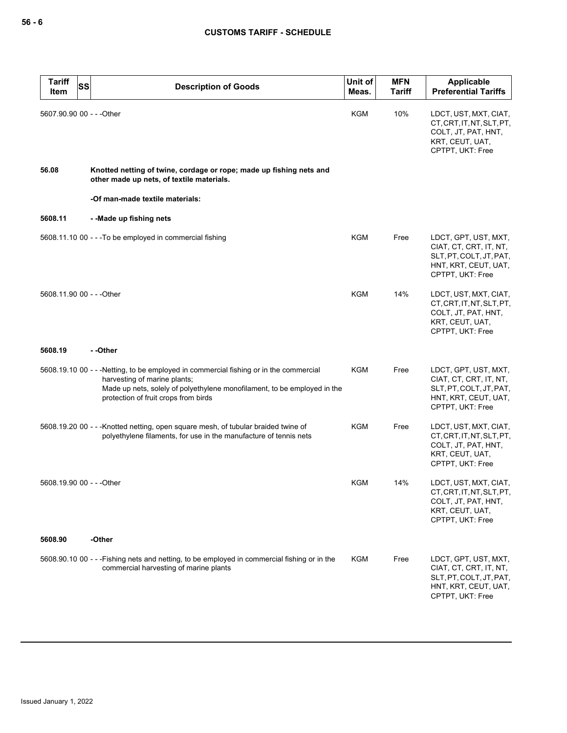| <b>Tariff</b><br>Item     | SS<br><b>Description of Goods</b>                                                                                                                                                                                                          | Unit of<br>Meas. | <b>MFN</b><br><b>Tariff</b> | Applicable<br><b>Preferential Tariffs</b>                                                                             |
|---------------------------|--------------------------------------------------------------------------------------------------------------------------------------------------------------------------------------------------------------------------------------------|------------------|-----------------------------|-----------------------------------------------------------------------------------------------------------------------|
| 5607.90.90 00 - - - Other |                                                                                                                                                                                                                                            | <b>KGM</b>       | 10%                         | LDCT, UST, MXT, CIAT,<br>CT, CRT, IT, NT, SLT, PT,<br>COLT, JT, PAT, HNT,<br>KRT, CEUT, UAT,<br>CPTPT, UKT: Free      |
| 56.08                     | Knotted netting of twine, cordage or rope; made up fishing nets and<br>other made up nets, of textile materials.                                                                                                                           |                  |                             |                                                                                                                       |
|                           | -Of man-made textile materials:                                                                                                                                                                                                            |                  |                             |                                                                                                                       |
| 5608.11                   | --Made up fishing nets                                                                                                                                                                                                                     |                  |                             |                                                                                                                       |
|                           | 5608.11.10 00 - - - To be employed in commercial fishing                                                                                                                                                                                   | KGM              | Free                        | LDCT, GPT, UST, MXT,<br>CIAT, CT, CRT, IT, NT,<br>SLT, PT, COLT, JT, PAT,<br>HNT, KRT, CEUT, UAT,<br>CPTPT, UKT: Free |
| 5608.11.90 00 - - - Other |                                                                                                                                                                                                                                            | <b>KGM</b>       | 14%                         | LDCT, UST, MXT, CIAT,<br>CT, CRT, IT, NT, SLT, PT,<br>COLT, JT, PAT, HNT,<br>KRT, CEUT, UAT,<br>CPTPT, UKT: Free      |
| 5608.19                   | - -Other                                                                                                                                                                                                                                   |                  |                             |                                                                                                                       |
|                           | 5608.19.10 00 - - - Netting, to be employed in commercial fishing or in the commercial<br>harvesting of marine plants;<br>Made up nets, solely of polyethylene monofilament, to be employed in the<br>protection of fruit crops from birds | KGM              | Free                        | LDCT, GPT, UST, MXT,<br>CIAT, CT, CRT, IT, NT,<br>SLT, PT, COLT, JT, PAT,<br>HNT, KRT, CEUT, UAT,<br>CPTPT, UKT: Free |
|                           | 5608.19.20 00 - - - Knotted netting, open square mesh, of tubular braided twine of<br>polyethylene filaments, for use in the manufacture of tennis nets                                                                                    | KGM              | Free                        | LDCT, UST, MXT, CIAT,<br>CT, CRT, IT, NT, SLT, PT,<br>COLT, JT, PAT, HNT,<br>KRT, CEUT, UAT,<br>CPTPT, UKT: Free      |
| 5608.19.90 00 - - - Other |                                                                                                                                                                                                                                            | <b>KGM</b>       | 14%                         | LDCT, UST, MXT, CIAT,<br>CT, CRT, IT, NT, SLT, PT,<br>COLT, JT, PAT, HNT,<br>KRT, CEUT, UAT,<br>CPTPT, UKT: Free      |
| 5608.90                   | -Other                                                                                                                                                                                                                                     |                  |                             |                                                                                                                       |
|                           | 5608.90.10 00 - - - Fishing nets and netting, to be employed in commercial fishing or in the<br>commercial harvesting of marine plants                                                                                                     | KGM              | Free                        | LDCT, GPT, UST, MXT,<br>CIAT, CT, CRT, IT, NT,<br>SLT, PT, COLT, JT, PAT,<br>HNT, KRT, CEUT, UAT,<br>CPTPT, UKT: Free |